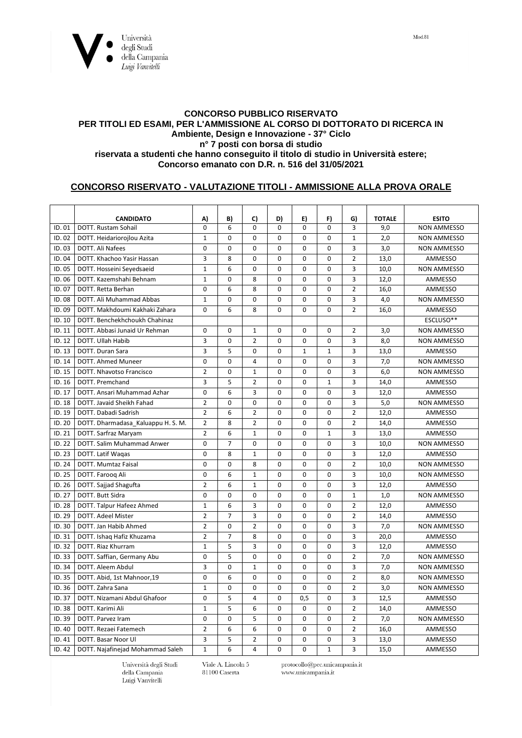

## **CONCORSO PUBBLICO RISERVATO PER TITOLI ED ESAMI, PER L'AMMISSIONE AL CORSO DI DOTTORATO DI RICERCA IN Ambiente, Design e Innovazione - 37° Ciclo n° 7 posti con borsa di studio riservata a studenti che hanno conseguito il titolo di studio in Università estere; Concorso emanato con D.R. n. 516 del 31/05/2021**

## **CONCORSO RISERVATO - VALUTAZIONE TITOLI - AMMISSIONE ALLA PROVA ORALE**

|        | <b>CANDIDATO</b>                   | A)             | B)             | C)             | D)          | E)           | F)           | G)             | <b>TOTALE</b> | <b>ESITO</b>       |
|--------|------------------------------------|----------------|----------------|----------------|-------------|--------------|--------------|----------------|---------------|--------------------|
| ID.01  | DOTT. Rustam Sohail                | $\Omega$       | 6              | $\mathbf 0$    | $\Omega$    | 0            | 0            | 3              | 9,0           | <b>NON AMMESSO</b> |
| ID.02  | DOTT. Heidariorojlou Azita         | $\mathbf{1}$   | $\Omega$       | 0              | $\Omega$    | $\Omega$     | 0            | $\mathbf{1}$   | 2,0           | <b>NON AMMESSO</b> |
| ID.03  | DOTT. Ali Nafees                   | 0              | 0              | $\mathbf 0$    | $\mathbf 0$ | $\mathbf 0$  | $\mathbf 0$  | 3              | 3,0           | <b>NON AMMESSO</b> |
| ID.04  | DOTT. Khachoo Yasir Hassan         | 3              | 8              | $\mathbf 0$    | 0           | 0            | $\mathbf 0$  | $\overline{2}$ | 13,0          | AMMESSO            |
| ID. 05 | DOTT. Hosseini Seyedsaeid          | $\mathbf{1}$   | 6              | $\Omega$       | $\Omega$    | $\Omega$     | $\Omega$     | 3              | 10,0          | <b>NON AMMESSO</b> |
| ID.06  | DOTT. Kazemshahi Behnam            | $\mathbf{1}$   | $\mathbf 0$    | 8              | $\mathbf 0$ | $\mathbf 0$  | $\mathbf 0$  | $\overline{3}$ | 12,0          | AMMESSO            |
| ID.07  | DOTT. Retta Berhan                 | $\mathbf 0$    | 6              | 8              | $\Omega$    | 0            | $\mathbf 0$  | $\overline{2}$ | 16,0          | AMMESSO            |
| ID.08  | DOTT, Ali Muhammad Abbas           | $\mathbf{1}$   | $\Omega$       | $\Omega$       | $\Omega$    | $\Omega$     | $\Omega$     | 3              | 4,0           | <b>NON AMMESSO</b> |
| ID.09  | DOTT. Makhdoumi Kakhaki Zahara     | $\mathbf 0$    | 6              | 8              | $\mathbf 0$ | 0            | 0            | $\overline{2}$ | 16,0          | AMMESSO            |
| ID. 10 | DOTT. Benchekhchoukh Chahinaz      |                |                |                |             |              |              |                |               | ESCLUSO**          |
| ID. 11 | DOTT, Abbasi Junaid Ur Rehman      | $\Omega$       | $\Omega$       | $\mathbf{1}$   | $\Omega$    | $\mathbf 0$  | $\Omega$     | $\overline{2}$ | 3,0           | <b>NON AMMESSO</b> |
| ID. 12 | DOTT. Ullah Habib                  | $\overline{3}$ | $\mathbf 0$    | $\overline{2}$ | $\Omega$    | $\mathbf 0$  | $\mathbf 0$  | 3              | 8,0           | <b>NON AMMESSO</b> |
| ID. 13 | <b>DOTT. Duran Sara</b>            | 3              | 5              | $\mathbf 0$    | $\mathbf 0$ | $\mathbf{1}$ | $\mathbf{1}$ | 3              | 13.0          | <b>AMMESSO</b>     |
| ID. 14 | DOTT. Ahmed Muneer                 | $\mathbf 0$    | $\Omega$       | $\overline{4}$ | $\mathbf 0$ | 0            | $\mathbf 0$  | 3              | 7,0           | <b>NON AMMESSO</b> |
| ID. 15 | DOTT. Nhavotso Francisco           | $\overline{2}$ | 0              | $\mathbf 1$    | $\mathbf 0$ | 0            | 0            | 3              | 6,0           | <b>NON AMMESSO</b> |
| ID. 16 | DOTT. Premchand                    | 3              | 5              | $\overline{2}$ | $\Omega$    | $\mathbf 0$  | $\mathbf{1}$ | 3              | 14,0          | AMMESSO            |
| ID. 17 | DOTT. Ansari Muhammad Azhar        | $\Omega$       | 6              | 3              | 0           | 0            | 0            | 3              | 12,0          | AMMESSO            |
| ID. 18 | DOTT. Javaid Sheikh Fahad          | $\overline{2}$ | $\mathbf 0$    | 0              | $\mathbf 0$ | $\mathbf 0$  | $\mathbf 0$  | 3              | 5,0           | <b>NON AMMESSO</b> |
| ID. 19 | DOTT. Dabadi Sadrish               | $\overline{2}$ | 6              | $\overline{2}$ | $\Omega$    | $\mathbf 0$  | $\mathbf 0$  | $\overline{2}$ | 12,0          | <b>AMMESSO</b>     |
| ID. 20 | DOTT. Dharmadasa_Kaluappu H. S. M. | $\overline{2}$ | 8              | $\overline{2}$ | $\Omega$    | 0            | $\Omega$     | $\overline{2}$ | 14,0          | AMMESSO            |
| ID. 21 | DOTT. Sarfraz Maryam               | $\overline{2}$ | 6              | $\mathbf{1}$   | $\mathbf 0$ | $\mathbf 0$  | $\mathbf{1}$ | 3              | 13,0          | <b>AMMESSO</b>     |
| ID. 22 | DOTT. Salim Muhammad Anwer         | $\Omega$       | $\overline{7}$ | $\mathbf 0$    | $\Omega$    | $\mathbf 0$  | $\mathbf 0$  | 3              | 10,0          | <b>NON AMMESSO</b> |
| ID. 23 | DOTT. Latif Waqas                  | $\Omega$       | 8              | $\mathbf{1}$   | $\Omega$    | $\Omega$     | $\mathbf{0}$ | 3              | 12,0          | AMMESSO            |
| ID. 24 | DOTT. Mumtaz Faisal                | 0              | $\mathbf 0$    | 8              | 0           | 0            | 0            | $\overline{2}$ | 10,0          | <b>NON AMMESSO</b> |
| ID. 25 | DOTT. Faroog Ali                   | $\mathbf 0$    | 6              | $\mathbf{1}$   | $\mathbf 0$ | 0            | $\mathbf 0$  | 3              | 10,0          | <b>NON AMMESSO</b> |
| ID. 26 | DOTT. Sajjad Shagufta              | $\overline{2}$ | 6              | $\mathbf 1$    | $\Omega$    | $\mathbf 0$  | 0            | 3              | 12,0          | AMMESSO            |
| ID. 27 | DOTT. Butt Sidra                   | $\mathbf 0$    | 0              | $\mathbf 0$    | $\mathbf 0$ | 0            | $\mathbf 0$  | $\mathbf{1}$   | 1,0           | <b>NON AMMESSO</b> |
| ID. 28 | DOTT. Talpur Hafeez Ahmed          | $\mathbf{1}$   | 6              | 3              | $\Omega$    | 0            | $\Omega$     | $\overline{2}$ | 12,0          | AMMESSO            |
| ID. 29 | DOTT. Adeel Mister                 | $\overline{2}$ | $\overline{7}$ | $\overline{3}$ | $\Omega$    | $\Omega$     | $\Omega$     | $\overline{2}$ | 14,0          | AMMESSO            |
| ID. 30 | DOTT. Jan Habib Ahmed              | $\overline{2}$ | 0              | $\overline{2}$ | $\mathbf 0$ | 0            | 0            | 3              | 7,0           | <b>NON AMMESSO</b> |
| ID. 31 | DOTT. Ishaq Hafiz Khuzama          | $\overline{2}$ | $\overline{7}$ | 8              | $\Omega$    | 0            | $\mathbf 0$  | 3              | 20,0          | <b>AMMESSO</b>     |
| ID. 32 | DOTT. Riaz Khurram                 | $\mathbf 1$    | 5              | 3              | 0           | 0            | 0            | 3              | 12,0          | AMMESSO            |
| ID. 33 | DOTT. Saffian, Germany Abu         | $\mathbf 0$    | 5              | $\mathbf 0$    | $\mathbf 0$ | 0            | $\mathbf 0$  | $\overline{2}$ | 7,0           | <b>NON AMMESSO</b> |
| ID. 34 | DOTT. Aleem Abdul                  | 3              | $\mathbf 0$    | $\mathbf{1}$   | $\Omega$    | 0            | $\mathbf 0$  | 3              | 7,0           | <b>NON AMMESSO</b> |
| ID. 35 | DOTT. Abid, 1st Mahnoor,19         | $\Omega$       | 6              | $\Omega$       | $\Omega$    | $\Omega$     | $\Omega$     | $\overline{2}$ | 8,0           | <b>NON AMMESSO</b> |
| ID. 36 | DOTT, Zahra Sana                   | $\mathbf{1}$   | 0              | $\mathbf 0$    | $\mathbf 0$ | 0            | 0            | $\overline{2}$ | 3,0           | <b>NON AMMESSO</b> |
| ID. 37 | DOTT. Nizamani Abdul Ghafoor       | $\mathbf 0$    | 5              | $\overline{4}$ | $\mathbf 0$ | 0,5          | $\mathbf 0$  | 3              | 12,5          | AMMESSO            |
| ID. 38 | DOTT, Karimi Ali                   | $\mathbf{1}$   | 5              | 6              | $\Omega$    | $\Omega$     | $\Omega$     | $\overline{2}$ | 14,0          | AMMESSO            |
| ID. 39 | DOTT. Parvez Iram                  | 0              | $\Omega$       | 5              | $\mathbf 0$ | $\mathbf 0$  | 0            | $\overline{2}$ | 7,0           | <b>NON AMMESSO</b> |
| ID. 40 | DOTT, Rezaei Fatemech              | $\overline{2}$ | 6              | 6              | $\mathbf 0$ | $\mathbf 0$  | $\mathbf 0$  | $\overline{2}$ | 16,0          | <b>AMMESSO</b>     |
| ID. 41 | DOTT. Basar Noor Ul                | 3              | 5              | $\overline{2}$ | $\mathbf 0$ | 0            | $\mathbf 0$  | $\overline{3}$ | 13,0          | <b>AMMESSO</b>     |
| ID. 42 | DOTT. Najafinejad Mohammad Saleh   | $\mathbf{1}$   | 6              | 4              | $\Omega$    | 0            | $\mathbf{1}$ | 3              | 15,0          | AMMESSO            |

Università degli Studi della Campania Luigi Vanvitelli

Viale A. Lincoln 5 81100 Caserta

protocollo@pec.unicampania.it www.unicampania.it